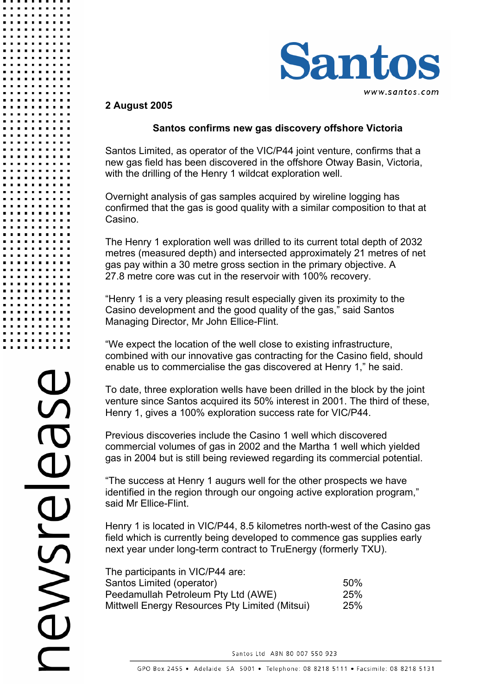

## **2 August 2005**

## **Santos confirms new gas discovery offshore Victoria**

Santos Limited, as operator of the VIC/P44 joint venture, confirms that a new gas field has been discovered in the offshore Otway Basin, Victoria, with the drilling of the Henry 1 wildcat exploration well.

Overnight analysis of gas samples acquired by wireline logging has confirmed that the gas is good quality with a similar composition to that at Casino.

The Henry 1 exploration well was drilled to its current total depth of 2032 metres (measured depth) and intersected approximately 21 metres of net gas pay within a 30 metre gross section in the primary objective. A 27.8 metre core was cut in the reservoir with 100% recovery.

"Henry 1 is a very pleasing result especially given its proximity to the Casino development and the good quality of the gas," said Santos Managing Director, Mr John Ellice-Flint.

"We expect the location of the well close to existing infrastructure, combined with our innovative gas contracting for the Casino field, should enable us to commercialise the gas discovered at Henry 1," he said.

To date, three exploration wells have been drilled in the block by the joint venture since Santos acquired its 50% interest in 2001. The third of these, Henry 1, gives a 100% exploration success rate for VIC/P44.

Previous discoveries include the Casino 1 well which discovered commercial volumes of gas in 2002 and the Martha 1 well which yielded gas in 2004 but is still being reviewed regarding its commercial potential.

"The success at Henry 1 augurs well for the other prospects we have identified in the region through our ongoing active exploration program," said Mr Ellice-Flint.

Henry 1 is located in VIC/P44, 8.5 kilometres north-west of the Casino gas field which is currently being developed to commence gas supplies early next year under long-term contract to TruEnergy (formerly TXU).

| The participants in VIC/P44 are:               |            |
|------------------------------------------------|------------|
| Santos Limited (operator)                      | .50%       |
| Peedamullah Petroleum Pty Ltd (AWE)            | <b>25%</b> |
| Mittwell Energy Resources Pty Limited (Mitsui) | <b>25%</b> |

Santos Ltd ABN 80 007 550 923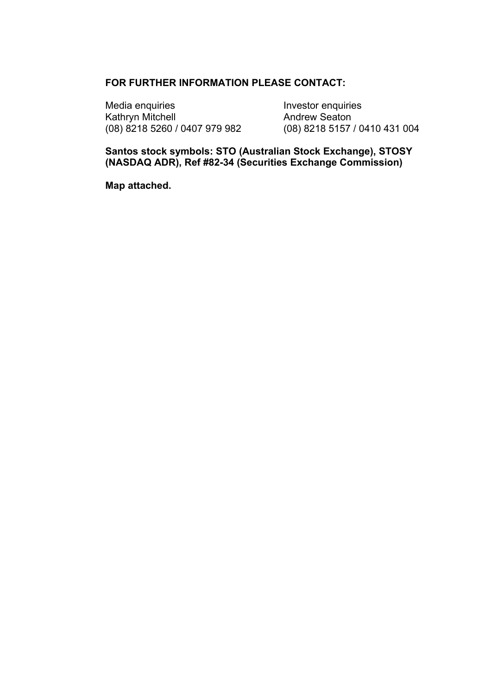## **FOR FURTHER INFORMATION PLEASE CONTACT:**

Media enquiries<br>
Kathryn Mitchell<br>
Kathryn Mitchell<br>
Contract Mondrew Seaton Kathryn Mitchell **Andrew Seaton**<br>
(08) 8218 5260 / 0407 979 982 (08) 8218 5157 / 0410 431 004 (08) 8218 5260 / 0407 979 982

**Santos stock symbols: STO (Australian Stock Exchange), STOSY (NASDAQ ADR), Ref #82-34 (Securities Exchange Commission)** 

**Map attached.**